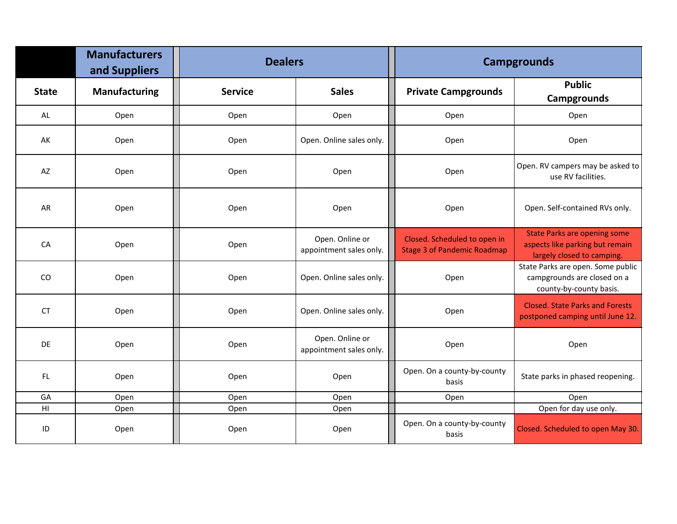|                | <b>Manufacturers</b><br>and Suppliers | <b>Dealers</b> |                                            | <b>Campgrounds</b>                                                 |                                                                                                      |
|----------------|---------------------------------------|----------------|--------------------------------------------|--------------------------------------------------------------------|------------------------------------------------------------------------------------------------------|
| <b>State</b>   | <b>Manufacturing</b>                  | <b>Service</b> | <b>Sales</b>                               | <b>Private Campgrounds</b>                                         | <b>Public</b><br><b>Campgrounds</b>                                                                  |
| AL             | Open                                  | Open           | Open                                       | Open                                                               | Open                                                                                                 |
| AK             | Open                                  | Open           | Open. Online sales only.                   | Open                                                               | Open                                                                                                 |
| AZ             | Open                                  | Open           | Open                                       | Open                                                               | Open. RV campers may be asked to<br>use RV facilities.                                               |
| AR             | Open                                  | Open           | Open                                       | Open                                                               | Open. Self-contained RVs only.                                                                       |
| CA             | Open                                  | Open           | Open. Online or<br>appointment sales only. | Closed. Scheduled to open in<br><b>Stage 3 of Pandemic Roadmap</b> | <b>State Parks are opening some</b><br>aspects like parking but remain<br>largely closed to camping. |
| CO             | Open                                  | Open           | Open. Online sales only.                   | Open                                                               | State Parks are open. Some public<br>campgrounds are closed on a<br>county-by-county basis.          |
| <b>CT</b>      | Open                                  | Open           | Open. Online sales only.                   | Open                                                               | <b>Closed. State Parks and Forests</b><br>postponed camping until June 12.                           |
| DE             | Open                                  | Open           | Open. Online or<br>appointment sales only. | Open                                                               | Open                                                                                                 |
| FL.            | Open                                  | Open           | Open                                       | Open. On a county-by-county<br>basis                               | State parks in phased reopening.                                                                     |
| GA             | Open                                  | Open           | Open                                       | Open                                                               | Open                                                                                                 |
| H <sub>1</sub> | Open                                  | Open           | Open                                       |                                                                    | Open for day use only.                                                                               |
| ID             | Open                                  | Open           | Open                                       | Open. On a county-by-county<br>basis                               | Closed. Scheduled to open May 30.                                                                    |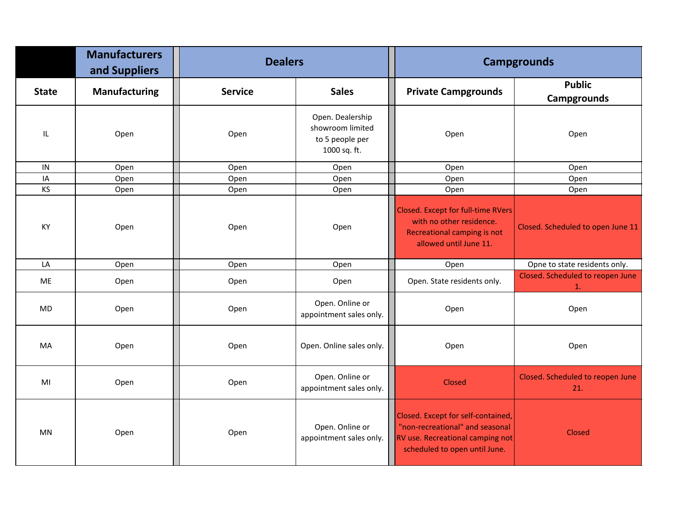|              | <b>Manufacturers</b><br>and Suppliers | <b>Dealers</b> |                                                                         | <b>Campgrounds</b>                                                                                                                         |                                         |
|--------------|---------------------------------------|----------------|-------------------------------------------------------------------------|--------------------------------------------------------------------------------------------------------------------------------------------|-----------------------------------------|
| <b>State</b> | <b>Manufacturing</b>                  | <b>Service</b> | <b>Sales</b>                                                            | <b>Private Campgrounds</b>                                                                                                                 | <b>Public</b><br><b>Campgrounds</b>     |
| IL           | Open                                  | Open           | Open. Dealership<br>showroom limited<br>to 5 people per<br>1000 sq. ft. | Open                                                                                                                                       | Open                                    |
| IN           | Open                                  | Open           | Open                                                                    | Open                                                                                                                                       | Open                                    |
| IA           | Open                                  | Open           | Open                                                                    | Open                                                                                                                                       | Open                                    |
| KS           | Open                                  | Open           | Open                                                                    | Open                                                                                                                                       | Open                                    |
| KY           | Open                                  | Open           | Open                                                                    | <b>Closed. Except for full-time RVers</b><br>with no other residence.<br><b>Recreational camping is not</b><br>allowed until June 11.      | Closed. Scheduled to open June 11       |
| LA           | Open                                  | Open           | Open                                                                    | Open                                                                                                                                       | Opne to state residents only.           |
| ME           | Open                                  | Open           | Open                                                                    | Open. State residents only.                                                                                                                | Closed. Scheduled to reopen June<br>1.  |
| MD           | Open                                  | Open           | Open. Online or<br>appointment sales only.                              | Open                                                                                                                                       | Open                                    |
| MA           | Open                                  | Open           | Open. Online sales only.                                                | Open                                                                                                                                       | Open                                    |
| MI           | Open                                  | Open           | Open. Online or<br>appointment sales only.                              | Closed                                                                                                                                     | Closed. Scheduled to reopen June<br>21. |
| MN           | Open                                  | Open           | Open. Online or<br>appointment sales only.                              | Closed. Except for self-contained,<br>"non-recreational" and seasonal<br>RV use. Recreational camping not<br>scheduled to open until June. | Closed                                  |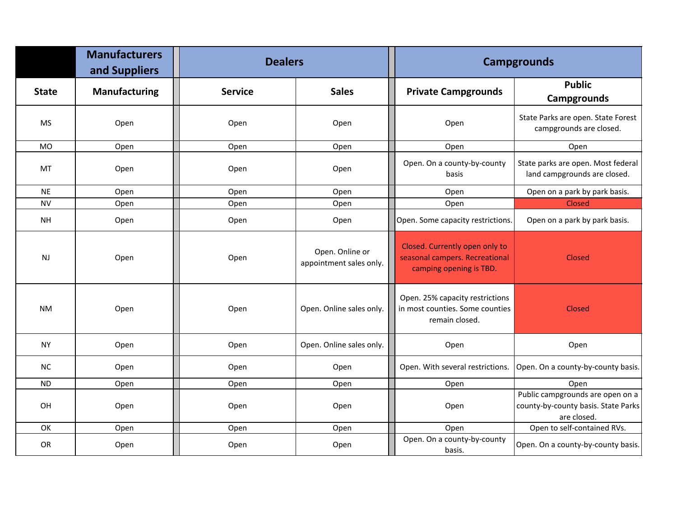|              | <b>Manufacturers</b><br>and Suppliers | <b>Dealers</b> |                                            | <b>Campgrounds</b>                                                                          |                                                                                        |
|--------------|---------------------------------------|----------------|--------------------------------------------|---------------------------------------------------------------------------------------------|----------------------------------------------------------------------------------------|
| <b>State</b> | <b>Manufacturing</b>                  | <b>Service</b> | <b>Sales</b>                               | <b>Private Campgrounds</b>                                                                  | <b>Public</b><br><b>Campgrounds</b>                                                    |
| <b>MS</b>    | Open                                  | Open           | Open                                       | Open                                                                                        | State Parks are open. State Forest<br>campgrounds are closed.                          |
| MO           | Open                                  | Open           | Open                                       | Open                                                                                        | Open                                                                                   |
| MT           | Open                                  | Open           | Open                                       | Open. On a county-by-county<br>basis                                                        | State parks are open. Most federal<br>land campgrounds are closed.                     |
| <b>NE</b>    | Open                                  | Open           | Open                                       | Open                                                                                        | Open on a park by park basis.                                                          |
| <b>NV</b>    | Open                                  | Open           | Open                                       | Open                                                                                        | Closed                                                                                 |
| <b>NH</b>    | Open                                  | Open           | Open                                       | Open. Some capacity restrictions.                                                           | Open on a park by park basis.                                                          |
| <b>NJ</b>    | Open                                  | Open           | Open. Online or<br>appointment sales only. | Closed. Currently open only to<br>seasonal campers. Recreational<br>camping opening is TBD. | Closed                                                                                 |
| <b>NM</b>    | Open                                  | Open           | Open. Online sales only.                   | Open. 25% capacity restrictions<br>in most counties. Some counties<br>remain closed.        | Closed                                                                                 |
| <b>NY</b>    | Open                                  | Open           | Open. Online sales only.                   | Open                                                                                        | Open                                                                                   |
| NC           | Open                                  | Open           | Open                                       | Open. With several restrictions.                                                            | Open. On a county-by-county basis.                                                     |
| <b>ND</b>    | Open                                  | Open           | Open                                       | Open                                                                                        | Open                                                                                   |
| OH           | Open                                  | Open           | Open                                       | Open                                                                                        | Public campgrounds are open on a<br>county-by-county basis. State Parks<br>are closed. |
| OK           | Open                                  | Open           | Open                                       | Open                                                                                        | Open to self-contained RVs.                                                            |
| OR           | Open                                  | Open           | Open                                       | Open. On a county-by-county<br>basis.                                                       | Open. On a county-by-county basis.                                                     |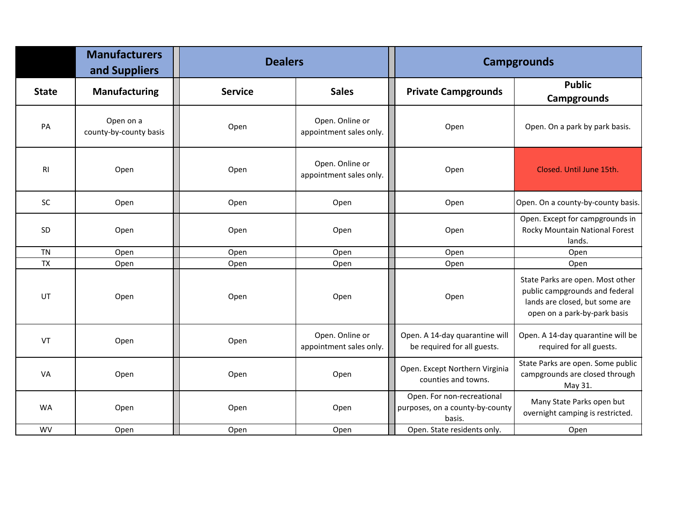|              | <b>Manufacturers</b><br>and Suppliers | <b>Dealers</b> |                                            | <b>Campgrounds</b>                                                      |                                                                                                                                      |
|--------------|---------------------------------------|----------------|--------------------------------------------|-------------------------------------------------------------------------|--------------------------------------------------------------------------------------------------------------------------------------|
| <b>State</b> | <b>Manufacturing</b>                  | <b>Service</b> | <b>Sales</b>                               | <b>Private Campgrounds</b>                                              | <b>Public</b><br><b>Campgrounds</b>                                                                                                  |
| PA           | Open on a<br>county-by-county basis   | Open           | Open. Online or<br>appointment sales only. | Open                                                                    | Open. On a park by park basis.                                                                                                       |
| <b>RI</b>    | Open                                  | Open           | Open. Online or<br>appointment sales only. | Open                                                                    | Closed. Until June 15th.                                                                                                             |
| SC           | Open                                  | Open           | Open                                       | Open                                                                    | Open. On a county-by-county basis.                                                                                                   |
| <b>SD</b>    | Open                                  | Open           | Open                                       | Open                                                                    | Open. Except for campgrounds in<br>Rocky Mountain National Forest<br>lands.                                                          |
| <b>TN</b>    | Open                                  | Open           | Open                                       | Open                                                                    | Open                                                                                                                                 |
| <b>TX</b>    | Open                                  | Open           | Open                                       | Open                                                                    | Open                                                                                                                                 |
| UT           | Open                                  | Open           | Open                                       | Open                                                                    | State Parks are open. Most other<br>public campgrounds and federal<br>lands are closed, but some are<br>open on a park-by-park basis |
| VT           | Open                                  | Open           | Open. Online or<br>appointment sales only. | Open. A 14-day quarantine will<br>be required for all guests.           | Open. A 14-day quarantine will be<br>required for all guests.                                                                        |
| VA           | Open                                  | Open           | Open                                       | Open. Except Northern Virginia<br>counties and towns.                   | State Parks are open. Some public<br>campgrounds are closed through<br>May 31.                                                       |
| <b>WA</b>    | Open                                  | Open           | Open                                       | Open. For non-recreational<br>purposes, on a county-by-county<br>basis. | Many State Parks open but<br>overnight camping is restricted.                                                                        |
| <b>WV</b>    | Open                                  | Open           | Open                                       | Open. State residents only.                                             | Open                                                                                                                                 |